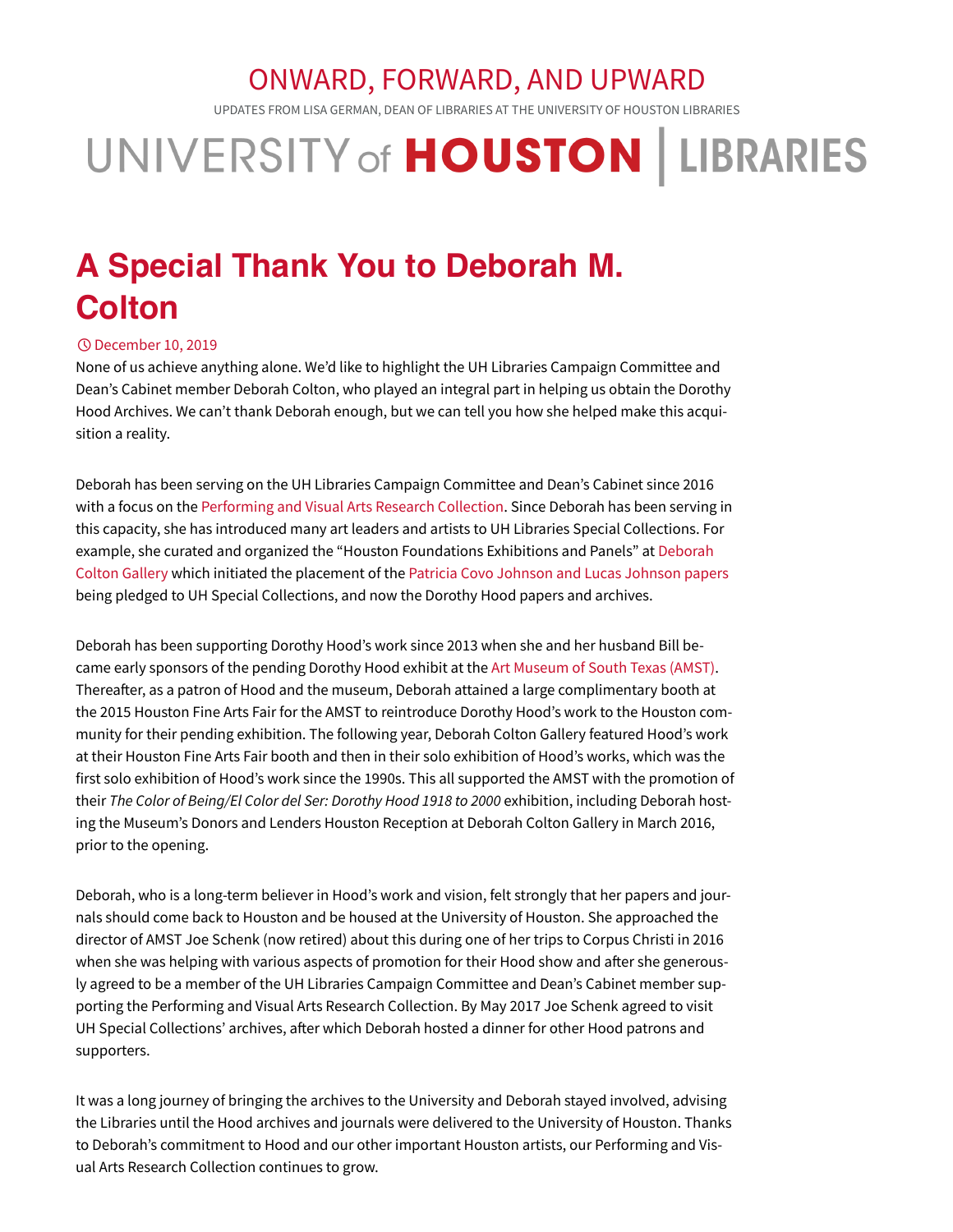## ONWARD, [FORWARD,](https://weblogs.lib.uh.edu/dean/) AND UPWARD

UPDATES FROM LISA GERMAN, DEAN OF LIBRARIES AT THE UNIVERSITY OF HOUSTON LIBRARIES

## UNIVERSITY of HOUSTON | LIBRARIES

## **A Special Thank You to Deborah M. Colton**

## [December](https://weblogs.lib.uh.edu/dean/2019/12/10/a-special-thank-you-to-deborah-m-colton/) 10, 2019

None of us achieve anything alone. We'd like to highlight the UH Libraries Campaign Committee and Dean's Cabinet member Deborah Colton, who played an integral part in helping us obtain the Dorothy Hood Archives. We can't thank Deborah enough, but we can tell you how she helped make this acquisition a reality.

Deborah has been serving on the UH Libraries Campaign Committee and Dean's Cabinet since 2016 with a focus on the [Performing](https://libraries.uh.edu/branches/special-collections/performing-visual-arts/) and Visual Arts Research Collection. Since Deborah has been serving in this capacity, she has introduced many art leaders and artists to UH Libraries Special Collections. For example, she curated and organized the "Houston [Foundations](http://www.deborahcoltongallery.com/International/) Exhibitions and Panels" at Deborah Colton Gallery which initiated the placement of the Patricia Covo [Johnson](https://libraries.uh.edu/about/news/lucas-johnson-and-patricia-covo-johnson-papers/) and Lucas Johnson papers being pledged to UH Special Collections, and now the Dorothy Hood papers and archives.

Deborah has been supporting Dorothy Hood's work since 2013 when she and her husband Bill became early sponsors of the pending Dorothy Hood exhibit at the Art [Museum](http://www.artmuseumofsouthtexas.org/) of South Texas (AMST). Thereafter, as a patron of Hood and the museum, Deborah attained a large complimentary booth at the 2015 Houston Fine Arts Fair for the AMST to reintroduce Dorothy Hood's work to the Houston community for their pending exhibition. The following year, Deborah Colton Gallery featured Hood's work at their Houston Fine Arts Fair booth and then in their solo exhibition of Hood's works, which was the first solo exhibition of Hood's work since the 1990s. This all supported the AMST with the promotion of their *The Color of Being/El Color del Ser: Dorothy Hood 1918 to 2000* exhibition, including Deborah hosting the Museum's Donors and Lenders Houston Reception at Deborah Colton Gallery in March 2016, prior to the opening.

Deborah, who is a long-term believer in Hood's work and vision, felt strongly that her papers and journals should come back to Houston and be housed at the University of Houston. She approached the director of AMST Joe Schenk (now retired) about this during one of her trips to Corpus Christi in 2016 when she was helping with various aspects of promotion for their Hood show and after she generously agreed to be a member of the UH Libraries Campaign Committee and Dean's Cabinet member supporting the Performing and Visual Arts Research Collection. By May 2017 Joe Schenk agreed to visit UH Special Collections' archives, after which Deborah hosted a dinner for other Hood patrons and supporters.

It was a long journey of bringing the archives to the University and Deborah stayed involved, advising the Libraries until the Hood archives and journals were delivered to the University of Houston. Thanks to Deborah's commitment to Hood and our other important Houston artists, our Performing and Visual Arts Research Collection continues to grow.